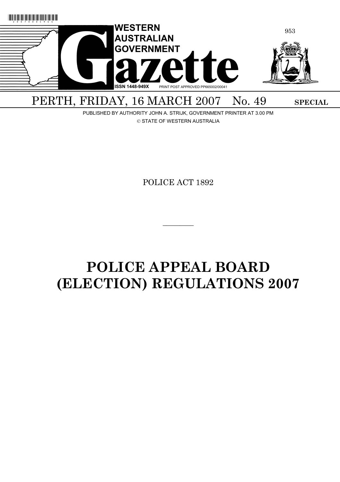

# PERTH, FRIDAY, 16 MARCH 2007 No. 49 SPECIAL

PUBLISHED BY AUTHORITY JOHN A. STRIJK, GOVERNMENT PRINTER AT 3.00 PM © STATE OF WESTERN AUSTRALIA

POLICE ACT 1892

 $\overline{\phantom{a}}$  . The set of the set of the set of the set of the set of the set of the set of the set of the set of the set of the set of the set of the set of the set of the set of the set of the set of the set of the set o

# **POLICE APPEAL BOARD (ELECTION) REGULATIONS 2007**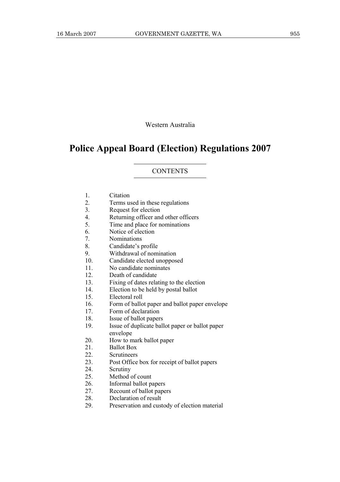Western Australia

# **Police Appeal Board (Election) Regulations 2007**

#### **CONTENTS**

- 1. Citation
- 2. Terms used in these regulations
- 3. Request for election
- 4. Returning officer and other officers
- 5. Time and place for nominations
- 6. Notice of election
- 7. Nominations
- 8. Candidate's profile
- 9. Withdrawal of nomination
- 10. Candidate elected unopposed
- 11. No candidate nominates
- 12. Death of candidate
- 13. Fixing of dates relating to the election
- 14. Election to be held by postal ballot
- 15. Electoral roll
- 16. Form of ballot paper and ballot paper envelope<br>17. Form of declaration
- Form of declaration
- 18. Issue of ballot papers
- 19. Issue of duplicate ballot paper or ballot paper envelope
- 20. How to mark ballot paper
- 21 Ballot Box
- 22. Scrutineers
- 23. Post Office box for receipt of ballot papers
- 24. Scrutiny
- 25. Method of count
- 26. Informal ballot papers
- 27. Recount of ballot papers
- 28. Declaration of result
- 29. Preservation and custody of election material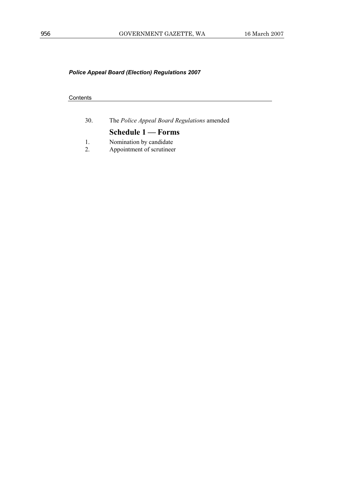## **Contents**

| 30.                 | The Police Appeal Board Regulations amended          |
|---------------------|------------------------------------------------------|
|                     | Schedule 1 – Forms                                   |
| $\overline{1}$<br>2 | Nomination by candidate<br>Appointment of scrutineer |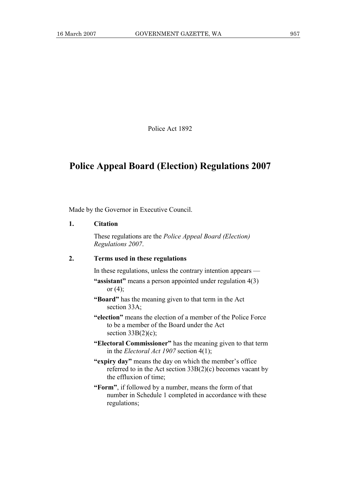Police Act 1892

# **Police Appeal Board (Election) Regulations 2007**

Made by the Governor in Executive Council.

# **1. Citation**

 These regulations are the *Police Appeal Board (Election) Regulations 2007*.

#### **2. Terms used in these regulations**

In these regulations, unless the contrary intention appears —

- **"assistant"** means a person appointed under regulation 4(3) or  $(4)$ ;
- **"Board"** has the meaning given to that term in the Act section 33A;
- **"election"** means the election of a member of the Police Force to be a member of the Board under the Act section  $33B(2)(c)$ ;
- **"Electoral Commissioner"** has the meaning given to that term in the *Electoral Act 1907* section 4(1);
- **"expiry day"** means the day on which the member's office referred to in the Act section 33B(2)(c) becomes vacant by the effluxion of time;
- **"Form"**, if followed by a number, means the form of that number in Schedule 1 completed in accordance with these regulations;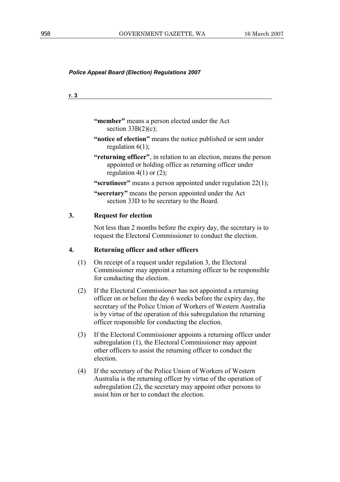| "member" means a person elected under the Act<br>section $33B(2)(c)$ ;                                                                                                                                                                                                                                                   |
|--------------------------------------------------------------------------------------------------------------------------------------------------------------------------------------------------------------------------------------------------------------------------------------------------------------------------|
| "notice of election" means the notice published or sent under<br>regulation $6(1)$ ;                                                                                                                                                                                                                                     |
| "returning officer", in relation to an election, means the person<br>appointed or holding office as returning officer under<br>regulation $4(1)$ or $(2)$ ;                                                                                                                                                              |
| "scrutineer" means a person appointed under regulation 22(1);                                                                                                                                                                                                                                                            |
| "secretary" means the person appointed under the Act<br>section 33D to be secretary to the Board.                                                                                                                                                                                                                        |
| <b>Request for election</b>                                                                                                                                                                                                                                                                                              |
| Not less than 2 months before the expiry day, the secretary is to<br>request the Electoral Commissioner to conduct the election.                                                                                                                                                                                         |
| Returning officer and other officers                                                                                                                                                                                                                                                                                     |
| On receipt of a request under regulation 3, the Electoral<br>Commissioner may appoint a returning officer to be responsible<br>for conducting the election.                                                                                                                                                              |
| If the Electoral Commissioner has not appointed a returning<br>officer on or before the day 6 weeks before the expiry day, the<br>secretary of the Police Union of Workers of Western Australia<br>is by virtue of the operation of this subregulation the returning<br>officer responsible for conducting the election. |
| If the Electoral Commissioner appoints a returning officer under<br>subregulation (1), the Electoral Commissioner may appoint<br>other officers to assist the returning officer to conduct the<br>election.                                                                                                              |
| If the secretary of the Police Union of Workers of Western<br>Australia is the returning officer by virtue of the operation of<br>subregulation (2), the secretary may appoint other persons to<br>assist him or her to conduct the election.                                                                            |
|                                                                                                                                                                                                                                                                                                                          |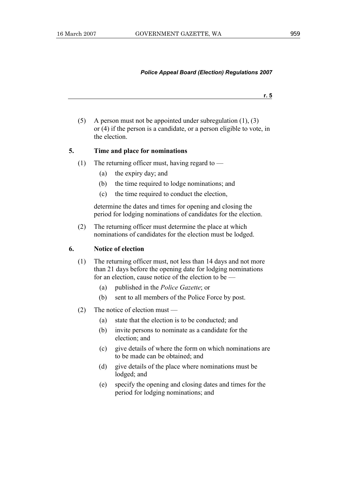**r. 5**

 (5) A person must not be appointed under subregulation (1), (3) or (4) if the person is a candidate, or a person eligible to vote, in the election.

## **5. Time and place for nominations**

- (1) The returning officer must, having regard to  $-$ 
	- (a) the expiry day; and
	- (b) the time required to lodge nominations; and
	- (c) the time required to conduct the election,

 determine the dates and times for opening and closing the period for lodging nominations of candidates for the election.

 (2) The returning officer must determine the place at which nominations of candidates for the election must be lodged.

#### **6. Notice of election**

- (1) The returning officer must, not less than 14 days and not more than 21 days before the opening date for lodging nominations for an election, cause notice of the election to be —
	- (a) published in the *Police Gazette*; or
	- (b) sent to all members of the Police Force by post.
- (2) The notice of election must
	- (a) state that the election is to be conducted; and
	- (b) invite persons to nominate as a candidate for the election; and
	- (c) give details of where the form on which nominations are to be made can be obtained; and
	- (d) give details of the place where nominations must be lodged; and
	- (e) specify the opening and closing dates and times for the period for lodging nominations; and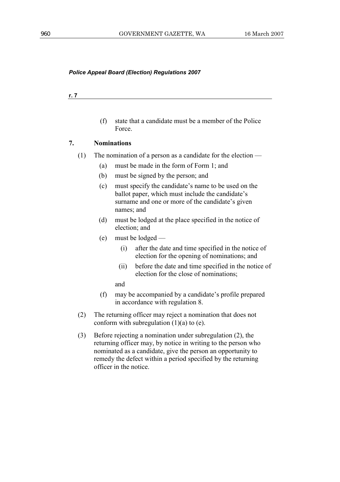#### **r. 7**

 (f) state that a candidate must be a member of the Police Force.

## **7. Nominations**

- (1) The nomination of a person as a candidate for the election
	- (a) must be made in the form of Form 1; and
	- (b) must be signed by the person; and
	- (c) must specify the candidate's name to be used on the ballot paper, which must include the candidate's surname and one or more of the candidate's given names; and
	- (d) must be lodged at the place specified in the notice of election; and
	- (e) must be lodged
		- (i) after the date and time specified in the notice of election for the opening of nominations; and
		- (ii) before the date and time specified in the notice of election for the close of nominations;

and

- (f) may be accompanied by a candidate's profile prepared in accordance with regulation 8.
- (2) The returning officer may reject a nomination that does not conform with subregulation  $(1)(a)$  to  $(e)$ .
- (3) Before rejecting a nomination under subregulation (2), the returning officer may, by notice in writing to the person who nominated as a candidate, give the person an opportunity to remedy the defect within a period specified by the returning officer in the notice.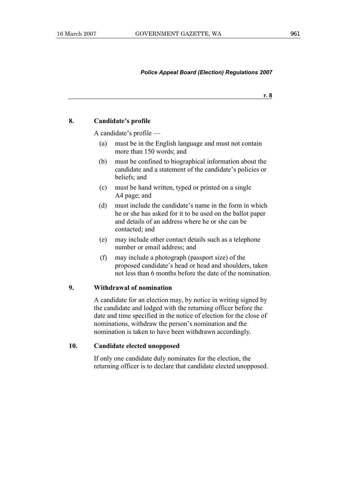**r. 8**

# **8. Candidate's profile**

A candidate's profile —

- (a) must be in the English language and must not contain more than 150 words; and
- (b) must be confined to biographical information about the candidate and a statement of the candidate's policies or beliefs; and
- (c) must be hand written, typed or printed on a single A4 page; and
- (d) must include the candidate's name in the form in which he or she has asked for it to be used on the ballot paper and details of an address where he or she can be contacted; and
- (e) may include other contact details such as a telephone number or email address; and
- (f) may include a photograph (passport size) of the proposed candidate's head or head and shoulders, taken not less than 6 months before the date of the nomination.

# **9. Withdrawal of nomination**

 A candidate for an election may, by notice in writing signed by the candidate and lodged with the returning officer before the date and time specified in the notice of election for the close of nominations, withdraw the person's nomination and the nomination is taken to have been withdrawn accordingly.

#### **10. Candidate elected unopposed**

 If only one candidate duly nominates for the election, the returning officer is to declare that candidate elected unopposed.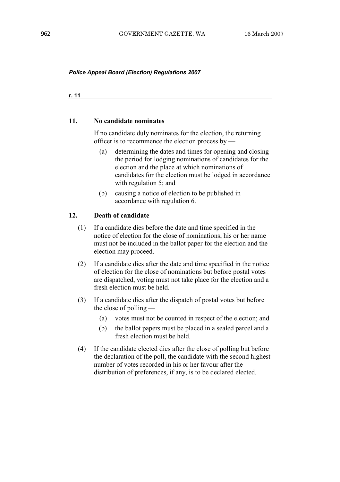**r. 11**

#### **11. No candidate nominates**

 If no candidate duly nominates for the election, the returning officer is to recommence the election process by —

- (a) determining the dates and times for opening and closing the period for lodging nominations of candidates for the election and the place at which nominations of candidates for the election must be lodged in accordance with regulation 5; and
- (b) causing a notice of election to be published in accordance with regulation 6.

#### **12. Death of candidate**

- (1) If a candidate dies before the date and time specified in the notice of election for the close of nominations, his or her name must not be included in the ballot paper for the election and the election may proceed.
- (2) If a candidate dies after the date and time specified in the notice of election for the close of nominations but before postal votes are dispatched, voting must not take place for the election and a fresh election must be held.
- (3) If a candidate dies after the dispatch of postal votes but before the close of polling —
	- (a) votes must not be counted in respect of the election; and
	- (b) the ballot papers must be placed in a sealed parcel and a fresh election must be held.
- (4) If the candidate elected dies after the close of polling but before the declaration of the poll, the candidate with the second highest number of votes recorded in his or her favour after the distribution of preferences, if any, is to be declared elected.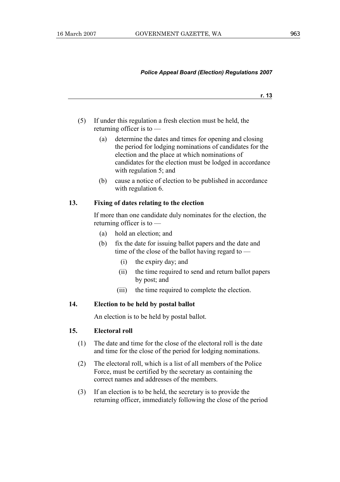**r. 13**

- (5) If under this regulation a fresh election must be held, the returning officer is to —
	- (a) determine the dates and times for opening and closing the period for lodging nominations of candidates for the election and the place at which nominations of candidates for the election must be lodged in accordance with regulation 5; and
	- (b) cause a notice of election to be published in accordance with regulation 6.

#### **13. Fixing of dates relating to the election**

 If more than one candidate duly nominates for the election, the returning officer is to —

- (a) hold an election; and
- (b) fix the date for issuing ballot papers and the date and time of the close of the ballot having regard to —
	- (i) the expiry day; and
	- (ii) the time required to send and return ballot papers by post; and
	- (iii) the time required to complete the election.

# **14. Election to be held by postal ballot**

An election is to be held by postal ballot.

# **15. Electoral roll**

- (1) The date and time for the close of the electoral roll is the date and time for the close of the period for lodging nominations.
- (2) The electoral roll, which is a list of all members of the Police Force, must be certified by the secretary as containing the correct names and addresses of the members.
- (3) If an election is to be held, the secretary is to provide the returning officer, immediately following the close of the period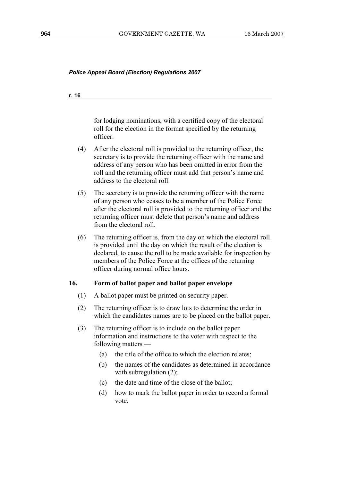#### **r. 16**

for lodging nominations, with a certified copy of the electoral roll for the election in the format specified by the returning officer.

- (4) After the electoral roll is provided to the returning officer, the secretary is to provide the returning officer with the name and address of any person who has been omitted in error from the roll and the returning officer must add that person's name and address to the electoral roll.
- (5) The secretary is to provide the returning officer with the name of any person who ceases to be a member of the Police Force after the electoral roll is provided to the returning officer and the returning officer must delete that person's name and address from the electoral roll.
- (6) The returning officer is, from the day on which the electoral roll is provided until the day on which the result of the election is declared, to cause the roll to be made available for inspection by members of the Police Force at the offices of the returning officer during normal office hours.

# **16. Form of ballot paper and ballot paper envelope**

- (1) A ballot paper must be printed on security paper.
- (2) The returning officer is to draw lots to determine the order in which the candidates names are to be placed on the ballot paper.
- (3) The returning officer is to include on the ballot paper information and instructions to the voter with respect to the following matters —
	- (a) the title of the office to which the election relates;
	- (b) the names of the candidates as determined in accordance with subregulation  $(2)$ ;
	- (c) the date and time of the close of the ballot;
	- (d) how to mark the ballot paper in order to record a formal vote.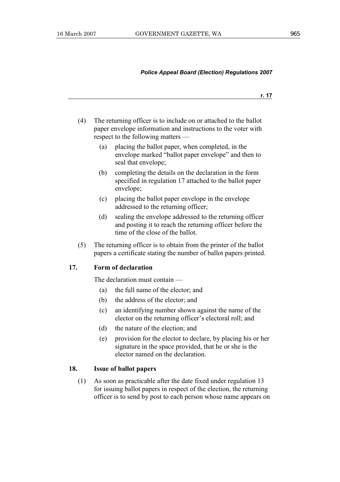**r. 17**

- (4) The returning officer is to include on or attached to the ballot paper envelope information and instructions to the voter with respect to the following matters —
	- (a) placing the ballot paper, when completed, in the envelope marked "ballot paper envelope" and then to seal that envelope;
	- (b) completing the details on the declaration in the form specified in regulation 17 attached to the ballot paper envelope;
	- (c) placing the ballot paper envelope in the envelope addressed to the returning officer;
	- (d) sealing the envelope addressed to the returning officer and posting it to reach the returning officer before the time of the close of the ballot.
- (5) The returning officer is to obtain from the printer of the ballot papers a certificate stating the number of ballot papers printed.

#### **17. Form of declaration**

The declaration must contain —

- (a) the full name of the elector; and
- (b) the address of the elector; and
- (c) an identifying number shown against the name of the elector on the returning officer's electoral roll; and
- (d) the nature of the election; and
- (e) provision for the elector to declare, by placing his or her signature in the space provided, that he or she is the elector named on the declaration.

### **18. Issue of ballot papers**

 (1) As soon as practicable after the date fixed under regulation 13 for issuing ballot papers in respect of the election, the returning officer is to send by post to each person whose name appears on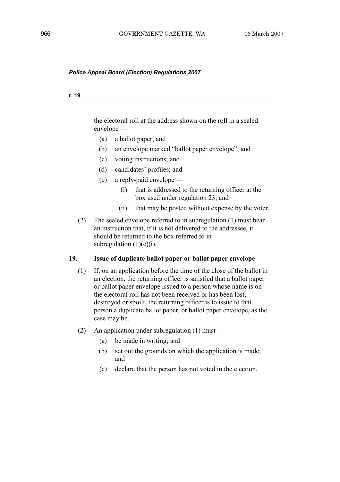#### **r. 19**

the electoral roll at the address shown on the roll in a sealed envelope —

- (a) a ballot paper; and
- (b) an envelope marked "ballot paper envelope"; and
- (c) voting instructions; and
- (d) candidates' profiles; and
- (e) a reply-paid envelope
	- (i) that is addressed to the returning officer at the box used under regulation 23; and
	- (ii) that may be posted without expense by the voter.
- (2) The sealed envelope referred to in subregulation (1) must bear an instruction that, if it is not delivered to the addressee, it should be returned to the box referred to in subregulation  $(1)(e)(i)$ .

# **19. Issue of duplicate ballot paper or ballot paper envelope**

- (1) If, on an application before the time of the close of the ballot in an election, the returning officer is satisfied that a ballot paper or ballot paper envelope issued to a person whose name is on the electoral roll has not been received or has been lost, destroyed or spoilt, the returning officer is to issue to that person a duplicate ballot paper, or ballot paper envelope, as the case may be.
- (2) An application under subregulation (1) must
	- (a) be made in writing; and
	- (b) set out the grounds on which the application is made; and
	- (c) declare that the person has not voted in the election.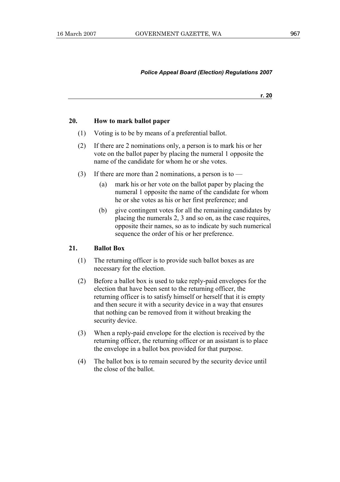**r. 20**

# **20. How to mark ballot paper**

- (1) Voting is to be by means of a preferential ballot.
- (2) If there are 2 nominations only, a person is to mark his or her vote on the ballot paper by placing the numeral 1 opposite the name of the candidate for whom he or she votes.
- (3) If there are more than 2 nominations, a person is to  $-$ 
	- (a) mark his or her vote on the ballot paper by placing the numeral 1 opposite the name of the candidate for whom he or she votes as his or her first preference; and
	- (b) give contingent votes for all the remaining candidates by placing the numerals 2, 3 and so on, as the case requires, opposite their names, so as to indicate by such numerical sequence the order of his or her preference.

## **21. Ballot Box**

- (1) The returning officer is to provide such ballot boxes as are necessary for the election.
- (2) Before a ballot box is used to take reply-paid envelopes for the election that have been sent to the returning officer, the returning officer is to satisfy himself or herself that it is empty and then secure it with a security device in a way that ensures that nothing can be removed from it without breaking the security device.
- (3) When a reply-paid envelope for the election is received by the returning officer, the returning officer or an assistant is to place the envelope in a ballot box provided for that purpose.
- (4) The ballot box is to remain secured by the security device until the close of the ballot.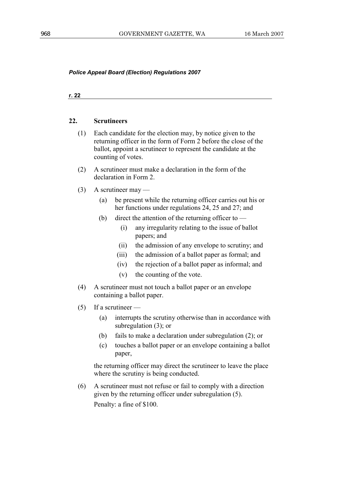**r. 22**

#### **22. Scrutineers**

- (1) Each candidate for the election may, by notice given to the returning officer in the form of Form 2 before the close of the ballot, appoint a scrutineer to represent the candidate at the counting of votes.
- (2) A scrutineer must make a declaration in the form of the declaration in Form 2.
- (3) A scrutineer may
	- (a) be present while the returning officer carries out his or her functions under regulations 24, 25 and 27; and
	- (b) direct the attention of the returning officer to
		- (i) any irregularity relating to the issue of ballot papers; and
		- (ii) the admission of any envelope to scrutiny; and
		- (iii) the admission of a ballot paper as formal; and
		- (iv) the rejection of a ballot paper as informal; and
		- (v) the counting of the vote.
- (4) A scrutineer must not touch a ballot paper or an envelope containing a ballot paper.
- $(5)$  If a scrutineer
	- (a) interrupts the scrutiny otherwise than in accordance with subregulation (3); or
	- (b) fails to make a declaration under subregulation (2); or
	- (c) touches a ballot paper or an envelope containing a ballot paper,

 the returning officer may direct the scrutineer to leave the place where the scrutiny is being conducted.

 (6) A scrutineer must not refuse or fail to comply with a direction given by the returning officer under subregulation (5). Penalty: a fine of \$100.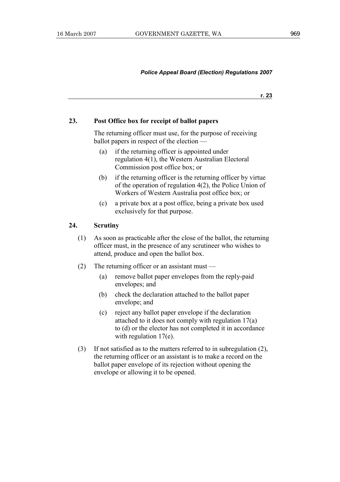**r. 23**

#### **23. Post Office box for receipt of ballot papers**

 The returning officer must use, for the purpose of receiving ballot papers in respect of the election —

- (a) if the returning officer is appointed under regulation 4(1), the Western Australian Electoral Commission post office box; or
- (b) if the returning officer is the returning officer by virtue of the operation of regulation 4(2), the Police Union of Workers of Western Australia post office box; or
- (c) a private box at a post office, being a private box used exclusively for that purpose.

#### **24. Scrutiny**

- (1) As soon as practicable after the close of the ballot, the returning officer must, in the presence of any scrutineer who wishes to attend, produce and open the ballot box.
- (2) The returning officer or an assistant must
	- (a) remove ballot paper envelopes from the reply-paid envelopes; and
	- (b) check the declaration attached to the ballot paper envelope; and
	- (c) reject any ballot paper envelope if the declaration attached to it does not comply with regulation 17(a) to (d) or the elector has not completed it in accordance with regulation 17(e).
- (3) If not satisfied as to the matters referred to in subregulation (2), the returning officer or an assistant is to make a record on the ballot paper envelope of its rejection without opening the envelope or allowing it to be opened.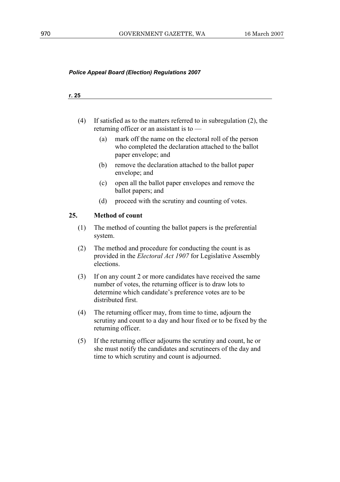#### **r. 25**

- (4) If satisfied as to the matters referred to in subregulation (2), the returning officer or an assistant is to —
	- (a) mark off the name on the electoral roll of the person who completed the declaration attached to the ballot paper envelope; and
	- (b) remove the declaration attached to the ballot paper envelope; and
	- (c) open all the ballot paper envelopes and remove the ballot papers; and
	- (d) proceed with the scrutiny and counting of votes.

#### **25. Method of count**

- (1) The method of counting the ballot papers is the preferential system.
- (2) The method and procedure for conducting the count is as provided in the *Electoral Act 1907* for Legislative Assembly elections.
- (3) If on any count 2 or more candidates have received the same number of votes, the returning officer is to draw lots to determine which candidate's preference votes are to be distributed first.
- (4) The returning officer may, from time to time, adjourn the scrutiny and count to a day and hour fixed or to be fixed by the returning officer.
- (5) If the returning officer adjourns the scrutiny and count, he or she must notify the candidates and scrutineers of the day and time to which scrutiny and count is adjourned.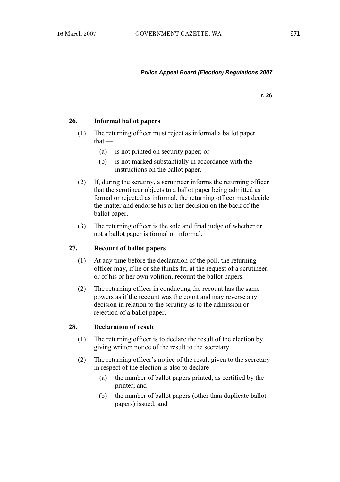**r. 26**

## **26. Informal ballot papers**

- (1) The returning officer must reject as informal a ballot paper that —
	- (a) is not printed on security paper; or
	- (b) is not marked substantially in accordance with the instructions on the ballot paper.
- (2) If, during the scrutiny, a scrutineer informs the returning officer that the scrutineer objects to a ballot paper being admitted as formal or rejected as informal, the returning officer must decide the matter and endorse his or her decision on the back of the ballot paper.
- (3) The returning officer is the sole and final judge of whether or not a ballot paper is formal or informal.

# **27. Recount of ballot papers**

- (1) At any time before the declaration of the poll, the returning officer may, if he or she thinks fit, at the request of a scrutineer, or of his or her own volition, recount the ballot papers.
- (2) The returning officer in conducting the recount has the same powers as if the recount was the count and may reverse any decision in relation to the scrutiny as to the admission or rejection of a ballot paper.

#### **28. Declaration of result**

- (1) The returning officer is to declare the result of the election by giving written notice of the result to the secretary.
- (2) The returning officer's notice of the result given to the secretary in respect of the election is also to declare —
	- (a) the number of ballot papers printed, as certified by the printer; and
	- (b) the number of ballot papers (other than duplicate ballot papers) issued; and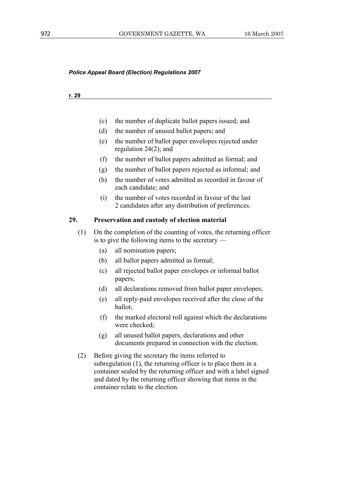#### **r. 29**

- (c) the number of duplicate ballot papers issued; and
- (d) the number of unused ballot papers; and
- (e) the number of ballot paper envelopes rejected under regulation 24(2); and
- (f) the number of ballot papers admitted as formal; and
- (g) the number of ballot papers rejected as informal; and
- (h) the number of votes admitted as recorded in favour of each candidate; and
- (i) the number of votes recorded in favour of the last 2 candidates after any distribution of preferences.

#### **29. Preservation and custody of election material**

- (1) On the completion of the counting of votes, the returning officer is to give the following items to the secretary —
	- (a) all nomination papers;
	- (b) all ballot papers admitted as formal;
	- (c) all rejected ballot paper envelopes or informal ballot papers;
	- (d) all declarations removed from ballot paper envelopes;
	- (e) all reply-paid envelopes received after the close of the ballot;
	- (f) the marked electoral roll against which the declarations were checked<sup>.</sup>
	- (g) all unused ballot papers, declarations and other documents prepared in connection with the election.
- (2) Before giving the secretary the items referred to subregulation (1), the returning officer is to place them in a container sealed by the returning officer and with a label signed and dated by the returning officer showing that items in the container relate to the election.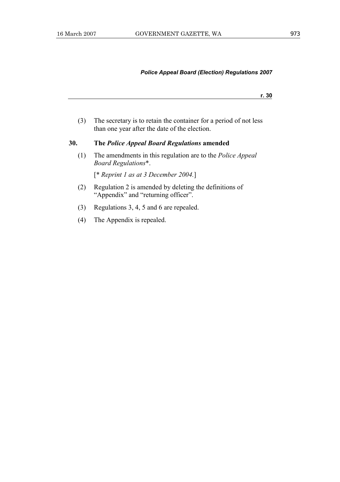**r. 30**

 (3) The secretary is to retain the container for a period of not less than one year after the date of the election.

### **30. The** *Police Appeal Board Regulations* **amended**

 (1) The amendments in this regulation are to the *Police Appeal Board Regulations*\*.

[\* *Reprint 1 as at 3 December 2004.*]

- (2) Regulation 2 is amended by deleting the definitions of "Appendix" and "returning officer".
- (3) Regulations 3, 4, 5 and 6 are repealed.
- (4) The Appendix is repealed.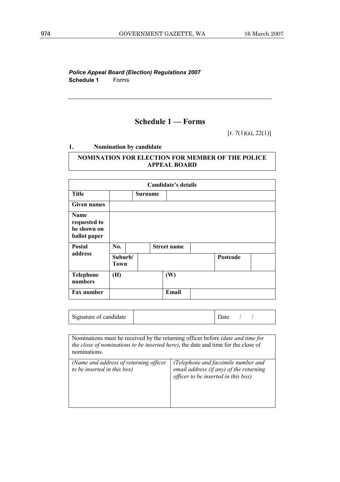*Police Appeal Board (Election) Regulations 2007*  **Schedule 1** Forms

# **Schedule 1 — Forms**

[r. 7(1)(a), 22(1)]

**1. Nomination by candidate** 

# **NOMINATION FOR ELECTION FOR MEMBER OF THE POLICE APPEAL BOARD**

| Candidate's details                                                  |                        |                |                    |  |          |  |
|----------------------------------------------------------------------|------------------------|----------------|--------------------|--|----------|--|
| <b>Title</b>                                                         |                        | <b>Surname</b> |                    |  |          |  |
| <b>Given names</b>                                                   |                        |                |                    |  |          |  |
| <b>Name</b><br>requested to<br>be shown on<br>ballot paper<br>Postal | No.                    |                | <b>Street name</b> |  |          |  |
| address                                                              | Suburb/<br><b>Town</b> |                |                    |  | Postcode |  |
| <b>Telephone</b><br>numbers                                          | (H)                    |                | (W)                |  |          |  |
| Fax number                                                           |                        |                | Email              |  |          |  |

| Signature of candidate |  | Jate |  |  |
|------------------------|--|------|--|--|
|------------------------|--|------|--|--|

Nominations must be received by the returning officer before *(date and time for the close of nominations to be inserted here)*, the date and time for the close of nominations. *(Name and address of returning officer to be inserted in this box) (Telephone and facsimile number and email address (if any) of the returning officer to be inserted in this box)*